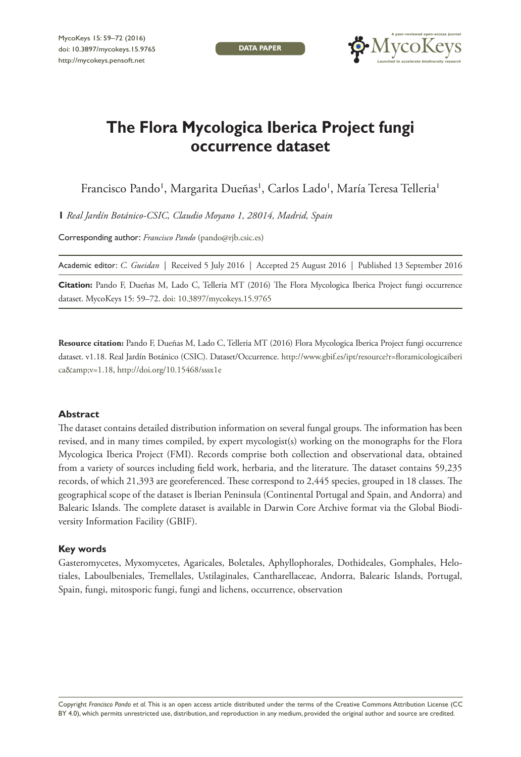**DATA PAPER**



# **The Flora Mycologica Iberica Project fungi occurrence dataset**

Francisco Pando', Margarita Dueñas', Carlos Lado', María Teresa Telleria'

**1** *Real Jardín Botánico-CSIC, Claudio Moyano 1, 28014, Madrid, Spain*

Corresponding author: *Francisco Pando* [\(pando@rjb.csic.es\)](mailto:pando@rjb.csic.es)

Academic editor: *C. Gueidan* | Received 5 July 2016 | Accepted 25 August 2016 | Published 13 September 2016

**Citation:** Pando F, Dueñas M, Lado C, Telleria MT (2016) The Flora Mycologica Iberica Project fungi occurrence dataset. MycoKeys 15: 59–72. [doi: 10.3897/mycokeys.15.9765](http://dx.doi.org/10.3897/mycokeys.15.9765)

**Resource citation:** Pando F, Dueñas M, Lado C, Telleria MT (2016) Flora Mycologica Iberica Project fungi occurrence dataset. v1.18. Real Jardín Botánico (CSIC). Dataset/Occurrence. [http://www.gbif.es/ipt/resource?r=floramicologicaiberi](http://www.gbif.es/ipt/resource?r=floramicologicaiberica&) [ca&](http://www.gbif.es/ipt/resource?r=floramicologicaiberica&)zamp;v=1.18,<http://doi.org/10.15468/sssx1e>

#### **Abstract**

The dataset contains detailed distribution information on several fungal groups. The information has been revised, and in many times compiled, by expert mycologist(s) working on the monographs for the Flora Mycologica Iberica Project (FMI). Records comprise both collection and observational data, obtained from a variety of sources including field work, herbaria, and the literature. The dataset contains 59,235 records, of which 21,393 are georeferenced. These correspond to 2,445 species, grouped in 18 classes. The geographical scope of the dataset is Iberian Peninsula (Continental Portugal and Spain, and Andorra) and Balearic Islands. The complete dataset is available in Darwin Core Archive format via the Global Biodiversity Information Facility (GBIF).

#### **Key words**

Gasteromycetes, Myxomycetes, Agaricales, Boletales, Aphyllophorales, Dothideales, Gomphales, Helotiales, Laboulbeniales, Tremellales, Ustilaginales, Cantharellaceae, Andorra, Balearic Islands, Portugal, Spain, fungi, mitosporic fungi, fungi and lichens, occurrence, observation

Copyright *Francisco Pando et al.* This is an open access article distributed under the terms of the [Creative Commons Attribution License \(CC](http://creativecommons.org/licenses/by/4.0/)  [BY 4.0\)](http://creativecommons.org/licenses/by/4.0/), which permits unrestricted use, distribution, and reproduction in any medium, provided the original author and source are credited.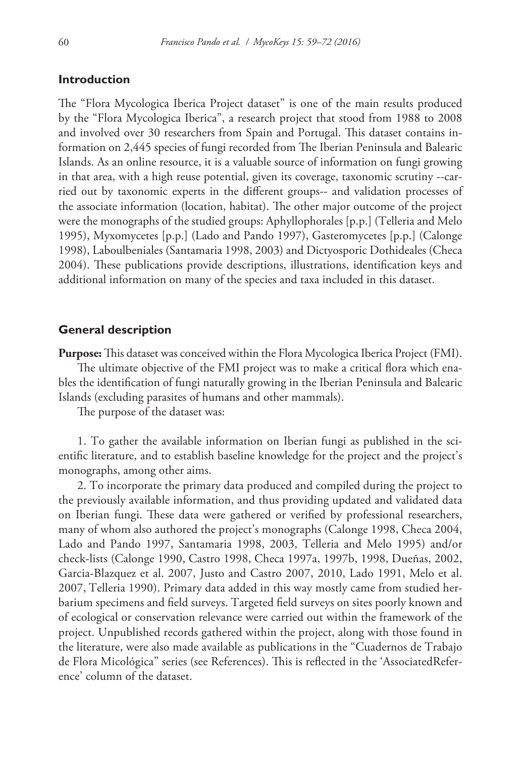## **Introduction**

The "Flora Mycologica Iberica Project dataset" is one of the main results produced by the "Flora Mycologica Iberica", a research project that stood from 1988 to 2008 and involved over 30 researchers from Spain and Portugal. This dataset contains information on 2,445 species of fungi recorded from The Iberian Peninsula and Balearic Islands. As an online resource, it is a valuable source of information on fungi growing in that area, with a high reuse potential, given its coverage, taxonomic scrutiny --carried out by taxonomic experts in the different groups-- and validation processes of the associate information (location, habitat). The other major outcome of the project were the monographs of the studied groups: Aphyllophorales [p.p.] (Telleria and Melo 1995), Myxomycetes [p.p.] (Lado and Pando 1997), Gasteromycetes [p.p.] (Calonge 1998), Laboulbeniales (Santamaria 1998, 2003) and Dictyosporic Dothideales (Checa 2004). These publications provide descriptions, illustrations, identification keys and additional information on many of the species and taxa included in this dataset.

## **General description**

**Purpose:** This dataset was conceived within the Flora Mycologica Iberica Project (FMI).

The ultimate objective of the FMI project was to make a critical flora which enables the identification of fungi naturally growing in the Iberian Peninsula and Balearic Islands (excluding parasites of humans and other mammals).

The purpose of the dataset was:

1. To gather the available information on Iberian fungi as published in the scientific literature, and to establish baseline knowledge for the project and the project's monographs, among other aims.

2. To incorporate the primary data produced and compiled during the project to the previously available information, and thus providing updated and validated data on Iberian fungi. These data were gathered or verified by professional researchers, many of whom also authored the project's monographs (Calonge 1998, Checa 2004, Lado and Pando 1997, Santamaria 1998, 2003, Telleria and Melo 1995) and/or check-lists (Calonge 1990, Castro 1998, Checa 1997a, 1997b, 1998, Dueñas, 2002, Garcia-Blazquez et al. 2007, Justo and Castro 2007, 2010, Lado 1991, Melo et al. 2007, Telleria 1990). Primary data added in this way mostly came from studied herbarium specimens and field surveys. Targeted field surveys on sites poorly known and of ecological or conservation relevance were carried out within the framework of the project. Unpublished records gathered within the project, along with those found in the literature, were also made available as publications in the "Cuadernos de Trabajo de Flora Micológica" series (see References). This is reflected in the 'AssociatedReference' column of the dataset.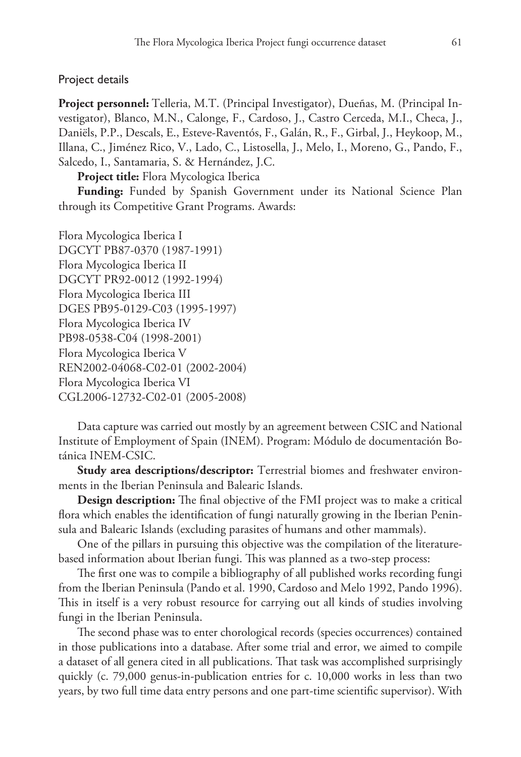## Project details

**Project personnel:** Telleria, M.T. (Principal Investigator), Dueñas, M. (Principal Investigator), Blanco, M.N., Calonge, F., Cardoso, J., Castro Cerceda, M.I., Checa, J., Daniëls, P.P., Descals, E., Esteve-Raventós, F., Galán, R., F., Girbal, J., Heykoop, M., Illana, C., Jiménez Rico, V., Lado, C., Listosella, J., Melo, I., Moreno, G., Pando, F., Salcedo, I., Santamaria, S. & Hernández, J.C.

**Project title:** Flora Mycologica Iberica

**Funding:** Funded by Spanish Government under its National Science Plan through its Competitive Grant Programs. Awards:

Flora Mycologica Iberica I DGCYT PB87-0370 (1987-1991) Flora Mycologica Iberica II DGCYT PR92-0012 (1992-1994) Flora Mycologica Iberica III DGES PB95-0129-C03 (1995-1997) Flora Mycologica Iberica IV PB98-0538-C04 (1998-2001) Flora Mycologica Iberica V REN2002-04068-C02-01 (2002-2004) Flora Mycologica Iberica VI CGL2006-12732-C02-01 (2005-2008)

Data capture was carried out mostly by an agreement between CSIC and National Institute of Employment of Spain (INEM). Program: Módulo de documentación Botánica INEM-CSIC.

**Study area descriptions/descriptor:** Terrestrial biomes and freshwater environments in the Iberian Peninsula and Balearic Islands.

**Design description:** The final objective of the FMI project was to make a critical flora which enables the identification of fungi naturally growing in the Iberian Peninsula and Balearic Islands (excluding parasites of humans and other mammals).

One of the pillars in pursuing this objective was the compilation of the literaturebased information about Iberian fungi. This was planned as a two-step process:

The first one was to compile a bibliography of all published works recording fungi from the Iberian Peninsula (Pando et al. 1990, Cardoso and Melo 1992, Pando 1996). This in itself is a very robust resource for carrying out all kinds of studies involving fungi in the Iberian Peninsula.

The second phase was to enter chorological records (species occurrences) contained in those publications into a database. After some trial and error, we aimed to compile a dataset of all genera cited in all publications. That task was accomplished surprisingly quickly (c. 79,000 genus-in-publication entries for c. 10,000 works in less than two years, by two full time data entry persons and one part-time scientific supervisor). With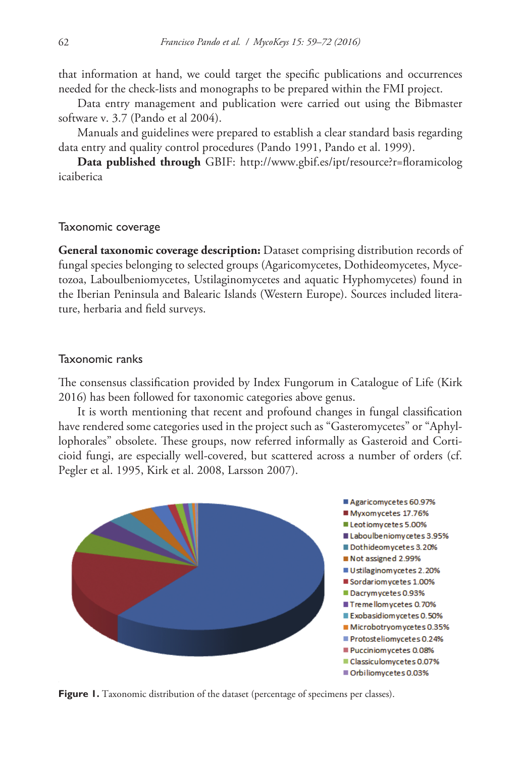that information at hand, we could target the specific publications and occurrences needed for the check-lists and monographs to be prepared within the FMI project.

Data entry management and publication were carried out using the Bibmaster software v. 3.7 (Pando et al 2004).

Manuals and guidelines were prepared to establish a clear standard basis regarding data entry and quality control procedures (Pando 1991, Pando et al. 1999).

**Data published through** GBIF: [http://www.gbif.es/ipt/resource?r=floramicolog](http://www.gbif.es/ipt/resource?r=floramicologicaiberica) [icaiberica](http://www.gbif.es/ipt/resource?r=floramicologicaiberica)

#### Taxonomic coverage

**General taxonomic coverage description:** Dataset comprising distribution records of fungal species belonging to selected groups (Agaricomycetes, Dothideomycetes, Mycetozoa, Laboulbeniomycetes, Ustilaginomycetes and aquatic Hyphomycetes) found in the Iberian Peninsula and Balearic Islands (Western Europe). Sources included literature, herbaria and field surveys.

#### Taxonomic ranks

The consensus classification provided by Index Fungorum in Catalogue of Life (Kirk 2016) has been followed for taxonomic categories above genus.

It is worth mentioning that recent and profound changes in fungal classification have rendered some categories used in the project such as "Gasteromycetes" or "Aphyllophorales" obsolete. These groups, now referred informally as Gasteroid and Corticioid fungi, are especially well-covered, but scattered across a number of orders (cf. Pegler et al. 1995, Kirk et al. 2008, Larsson 2007).



Figure 1. Taxonomic distribution of the dataset (percentage of specimens per classes).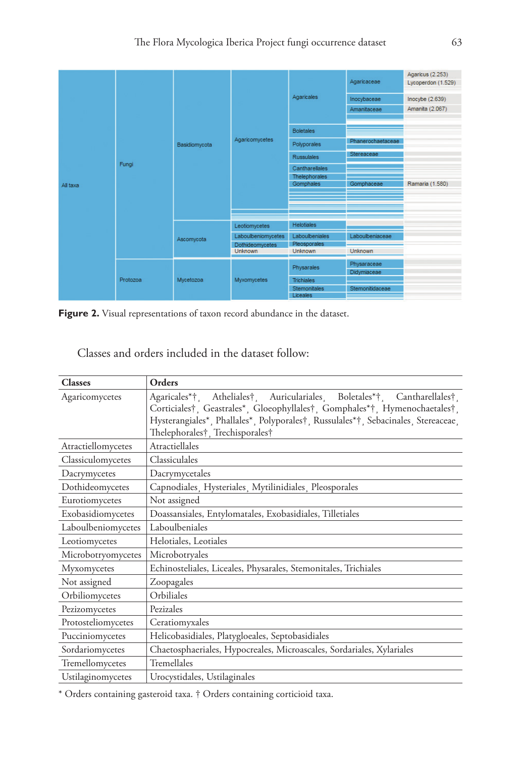

Figure 2. Visual representations of taxon record abundance in the dataset.

| Classes and orders included in the dataset follow: |  |
|----------------------------------------------------|--|
|----------------------------------------------------|--|

| <b>Classes</b>     | Orders                                                                            |
|--------------------|-----------------------------------------------------------------------------------|
| Agaricomycetes     | Atheliales†, Auriculariales, Boletales*†, Cantharellales†,<br>Agaricales*†        |
|                    | Corticiales†, Geastrales*, Gloeophyllales†, Gomphales*†, Hymenochaetales†,        |
|                    | Hysterangiales*, Phallales*, Polyporales†, Russulales*†, Sebacinales, Stereaceae, |
|                    | Thelephorales† Trechisporales†                                                    |
| Atractiellomycetes | Atractiellales                                                                    |
| Classiculomycetes  | Classiculales                                                                     |
| Dacrymycetes       | Dacrymycetales                                                                    |
| Dothideomycetes    | Capnodiales, Hysteriales, Mytilinidiales, Pleosporales                            |
| Eurotiomycetes     | Not assigned                                                                      |
| Exobasidiomycetes  | Doassansiales, Entylomatales, Exobasidiales, Tilletiales                          |
| Laboulbeniomycetes | Laboulbeniales                                                                    |
| Leotiomycetes      | Helotiales, Leotiales                                                             |
| Microbotryomycetes | Microbotryales                                                                    |
| Myxomycetes        | Echinosteliales, Liceales, Physarales, Stemonitales, Trichiales                   |
| Not assigned       | Zoopagales                                                                        |
| Orbiliomycetes     | Orbiliales                                                                        |
| Pezizomycetes      | Pezizales                                                                         |
| Protosteliomycetes | Ceratiomyxales                                                                    |
| Pucciniomycetes    | Helicobasidiales, Platygloeales, Septobasidiales                                  |
| Sordariomycetes    | Chaetosphaeriales, Hypocreales, Microascales, Sordariales, Xylariales             |
| Tremellomycetes    | Tremellales                                                                       |
| Ustilaginomycetes  | Urocystidales, Ustilaginales                                                      |

\* Orders containing gasteroid taxa. † Orders containing corticioid taxa.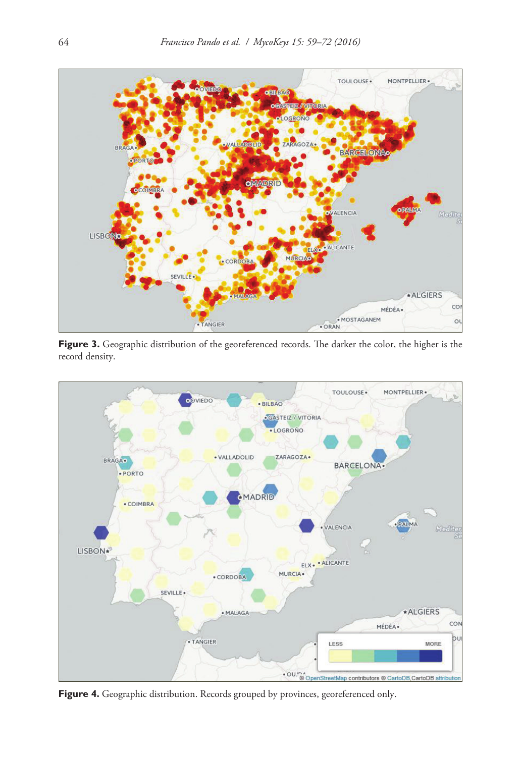

Figure 3. Geographic distribution of the georeferenced records. The darker the color, the higher is the record density.



Figure 4. Geographic distribution. Records grouped by provinces, georeferenced only.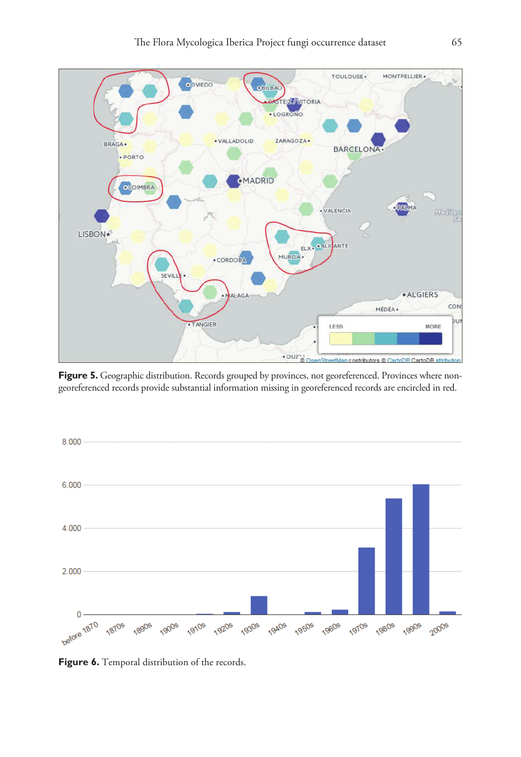

Figure 5. Geographic distribution. Records grouped by provinces, not georeferenced. Provinces where nongeoreferenced records provide substantial information missing in georeferenced records are encircled in red.



Figure 6. Temporal distribution of the records.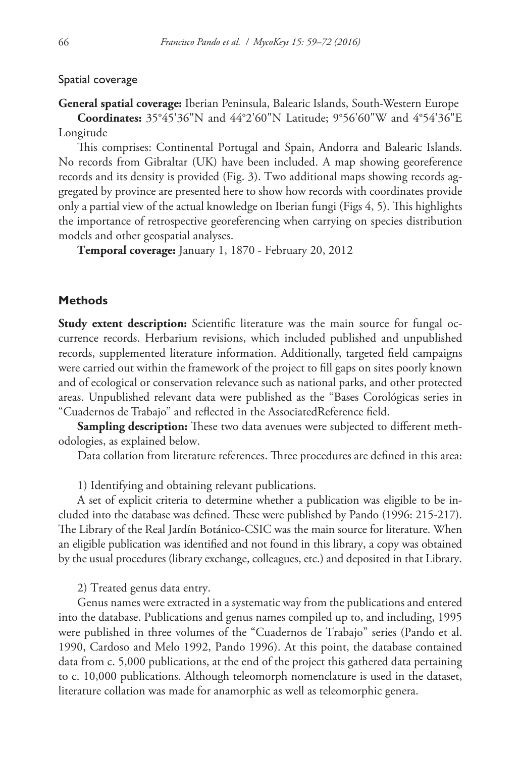#### Spatial coverage

# **General spatial coverage:** Iberian Peninsula, Balearic Islands, South-Western Europe **Coordinates:** 35°45'36"N and 44°2'60"N Latitude; 9°56'60"W and 4°54'36"E Longitude

This comprises: Continental Portugal and Spain, Andorra and Balearic Islands. No records from Gibraltar (UK) have been included. A map showing georeference records and its density is provided (Fig. 3). Two additional maps showing records aggregated by province are presented here to show how records with coordinates provide only a partial view of the actual knowledge on Iberian fungi (Figs 4, 5). This highlights the importance of retrospective georeferencing when carrying on species distribution models and other geospatial analyses.

**Temporal coverage:** January 1, 1870 - February 20, 2012

## **Methods**

**Study extent description:** Scientific literature was the main source for fungal occurrence records. Herbarium revisions, which included published and unpublished records, supplemented literature information. Additionally, targeted field campaigns were carried out within the framework of the project to fill gaps on sites poorly known and of ecological or conservation relevance such as national parks, and other protected areas. Unpublished relevant data were published as the "Bases Corológicas series in "Cuadernos de Trabajo" and reflected in the AssociatedReference field.

**Sampling description:** These two data avenues were subjected to different methodologies, as explained below.

Data collation from literature references. Three procedures are defined in this area:

1) Identifying and obtaining relevant publications.

A set of explicit criteria to determine whether a publication was eligible to be included into the database was defined. These were published by Pando (1996: 215-217). The Library of the Real Jardín Botánico-CSIC was the main source for literature. When an eligible publication was identified and not found in this library, a copy was obtained by the usual procedures (library exchange, colleagues, etc.) and deposited in that Library.

2) Treated genus data entry.

Genus names were extracted in a systematic way from the publications and entered into the database. Publications and genus names compiled up to, and including, 1995 were published in three volumes of the "Cuadernos de Trabajo" series (Pando et al. 1990, Cardoso and Melo 1992, Pando 1996). At this point, the database contained data from c. 5,000 publications, at the end of the project this gathered data pertaining to c. 10,000 publications. Although teleomorph nomenclature is used in the dataset, literature collation was made for anamorphic as well as teleomorphic genera.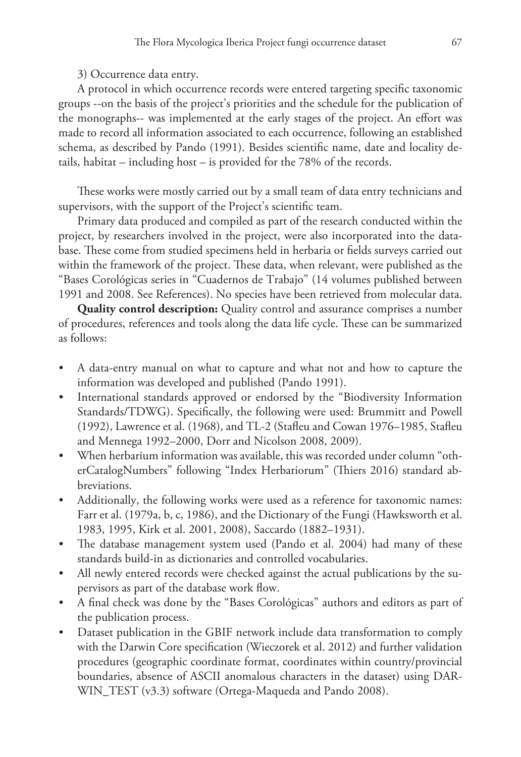3) Occurrence data entry.

A protocol in which occurrence records were entered targeting specific taxonomic groups --on the basis of the project's priorities and the schedule for the publication of the monographs-- was implemented at the early stages of the project. An effort was made to record all information associated to each occurrence, following an established schema, as described by Pando (1991). Besides scientific name, date and locality details, habitat – including host – is provided for the 78% of the records.

These works were mostly carried out by a small team of data entry technicians and supervisors, with the support of the Project's scientific team.

Primary data produced and compiled as part of the research conducted within the project, by researchers involved in the project, were also incorporated into the database. These come from studied specimens held in herbaria or fields surveys carried out within the framework of the project. These data, when relevant, were published as the "Bases Corológicas series in "Cuadernos de Trabajo" (14 volumes published between 1991 and 2008. See References). No species have been retrieved from molecular data.

**Quality control description:** Quality control and assurance comprises a number of procedures, references and tools along the data life cycle. These can be summarized as follows:

- A data-entry manual on what to capture and what not and how to capture the information was developed and published (Pando 1991).
- International standards approved or endorsed by the "Biodiversity Information Standards/TDWG). Specifically, the following were used: Brummitt and Powell (1992), Lawrence et al. (1968), and TL-2 (Stafleu and Cowan 1976–1985, Stafleu and Mennega 1992–2000, Dorr and Nicolson 2008, 2009).
- When herbarium information was available, this was recorded under column "otherCatalogNumbers" following "Index Herbariorum" (Thiers 2016) standard abbreviations.
- Additionally, the following works were used as a reference for taxonomic names: Farr et al. (1979a, b, c, 1986), and the Dictionary of the Fungi (Hawksworth et al. 1983, 1995, Kirk et al. 2001, 2008), Saccardo (1882–1931).
- The database management system used (Pando et al. 2004) had many of these standards build-in as dictionaries and controlled vocabularies.
- All newly entered records were checked against the actual publications by the supervisors as part of the database work flow.
- A final check was done by the "Bases Corológicas" authors and editors as part of the publication process.
- Dataset publication in the GBIF network include data transformation to comply with the Darwin Core specification (Wieczorek et al. 2012) and further validation procedures (geographic coordinate format, coordinates within country/provincial boundaries, absence of ASCII anomalous characters in the dataset) using DAR-WIN\_TEST (v3.3) software (Ortega-Maqueda and Pando 2008).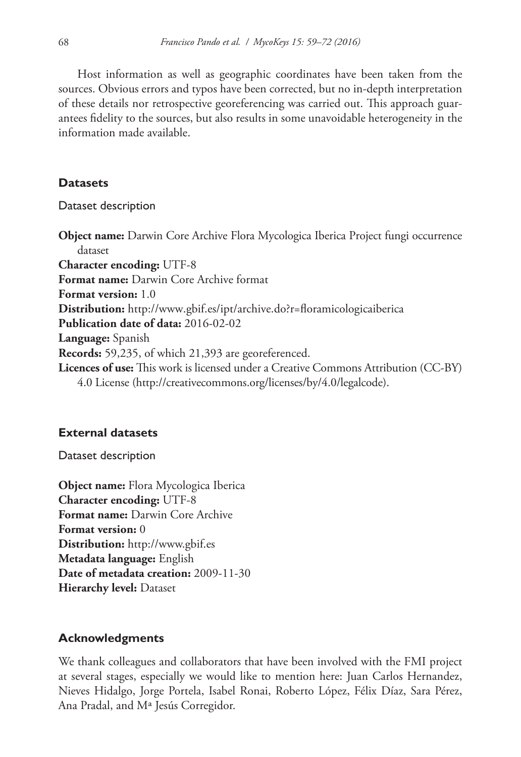Host information as well as geographic coordinates have been taken from the sources. Obvious errors and typos have been corrected, but no in-depth interpretation of these details nor retrospective georeferencing was carried out. This approach guarantees fidelity to the sources, but also results in some unavoidable heterogeneity in the information made available.

# **Datasets**

Dataset description

**Object name:** Darwin Core Archive Flora Mycologica Iberica Project fungi occurrence dataset **Character encoding:** UTF-8 **Format name:** Darwin Core Archive format **Format version:** 1.0 **Distribution:** <http://www.gbif.es/ipt/archive.do?r=floramicologicaiberica> **Publication date of data:** 2016-02-02 **Language:** Spanish **Records:** 59,235, of which 21,393 are georeferenced. **Licences of use:** This work is licensed under a Creative Commons Attribution (CC-BY) 4.0 License [\(http://creativecommons.org/licenses/by/4.0/legalcode\)](http://creativecommons.org/licenses/by/4.0/legalcode).

# **External datasets**

Dataset description

**Object name:** Flora Mycologica Iberica **Character encoding:** UTF-8 **Format name:** Darwin Core Archive **Format version:** 0 **Distribution:** <http://www.gbif.es> **Metadata language:** English **Date of metadata creation:** 2009-11-30 **Hierarchy level:** Dataset

# **Acknowledgments**

We thank colleagues and collaborators that have been involved with the FMI project at several stages, especially we would like to mention here: Juan Carlos Hernandez, Nieves Hidalgo, Jorge Portela, Isabel Ronai, Roberto López, Félix Díaz, Sara Pérez, Ana Pradal, and Mª Jesús Corregidor.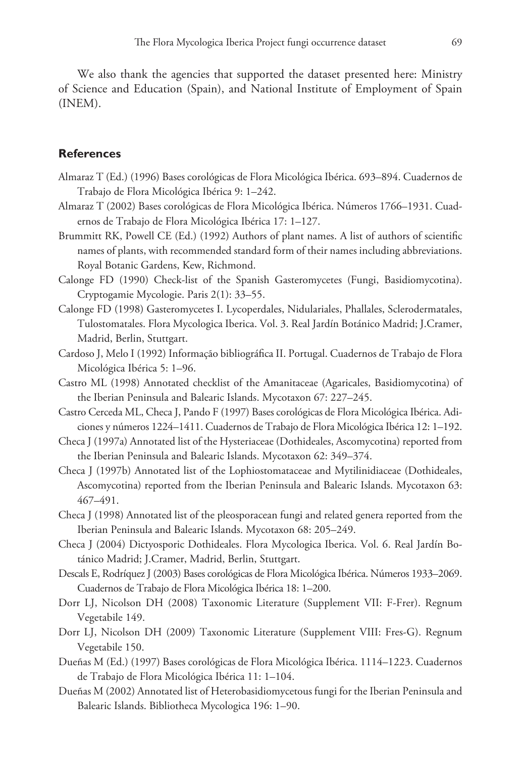We also thank the agencies that supported the dataset presented here: Ministry of Science and Education (Spain), and National Institute of Employment of Spain (INEM).

## **References**

- Almaraz T (Ed.) (1996) Bases corológicas de Flora Micológica Ibérica. 693–894. Cuadernos de Trabajo de Flora Micológica Ibérica 9: 1–242.
- Almaraz T (2002) Bases corológicas de Flora Micológica Ibérica. Números 1766–1931. Cuadernos de Trabajo de Flora Micológica Ibérica 17: 1–127.
- Brummitt RK, Powell CE (Ed.) (1992) Authors of plant names. A list of authors of scientific names of plants, with recommended standard form of their names including abbreviations. Royal Botanic Gardens, Kew, Richmond.
- Calonge FD (1990) Check-list of the Spanish Gasteromycetes (Fungi, Basidiomycotina). Cryptogamie Mycologie. Paris 2(1): 33–55.
- Calonge FD (1998) Gasteromycetes I. Lycoperdales, Nidulariales, Phallales, Sclerodermatales, Tulostomatales. Flora Mycologica Iberica. Vol. 3. Real Jardín Botánico Madrid; J.Cramer, Madrid, Berlin, Stuttgart.
- Cardoso J, Melo I (1992) Informação bibliográfica II. Portugal. Cuadernos de Trabajo de Flora Micológica Ibérica 5: 1–96.
- Castro ML (1998) Annotated checklist of the Amanitaceae (Agaricales, Basidiomycotina) of the Iberian Peninsula and Balearic Islands. Mycotaxon 67: 227–245.
- Castro Cerceda ML, Checa J, Pando F (1997) Bases corológicas de Flora Micológica Ibérica. Adiciones y números 1224–1411. Cuadernos de Trabajo de Flora Micológica Ibérica 12: 1–192.
- Checa J (1997a) Annotated list of the Hysteriaceae (Dothideales, Ascomycotina) reported from the Iberian Peninsula and Balearic Islands. Mycotaxon 62: 349–374.
- Checa J (1997b) Annotated list of the Lophiostomataceae and Mytilinidiaceae (Dothideales, Ascomycotina) reported from the Iberian Peninsula and Balearic Islands. Mycotaxon 63: 467–491.
- Checa J (1998) Annotated list of the pleosporacean fungi and related genera reported from the Iberian Peninsula and Balearic Islands. Mycotaxon 68: 205–249.
- Checa J (2004) Dictyosporic Dothideales. Flora Mycologica Iberica. Vol. 6. Real Jardín Botánico Madrid; J.Cramer, Madrid, Berlin, Stuttgart.
- Descals E, Rodríquez J (2003) Bases corológicas de Flora Micológica Ibérica. Números 1933–2069. Cuadernos de Trabajo de Flora Micológica Ibérica 18: 1–200.
- Dorr LJ, Nicolson DH (2008) Taxonomic Literature (Supplement VII: F-Frer). Regnum Vegetabile 149.
- Dorr LJ, Nicolson DH (2009) Taxonomic Literature (Supplement VIII: Fres-G). Regnum Vegetabile 150.
- Dueñas M (Ed.) (1997) Bases corológicas de Flora Micológica Ibérica. 1114–1223. Cuadernos de Trabajo de Flora Micológica Ibérica 11: 1–104.
- Dueñas M (2002) Annotated list of Heterobasidiomycetous fungi for the Iberian Peninsula and Balearic Islands. Bibliotheca Mycologica 196: 1–90.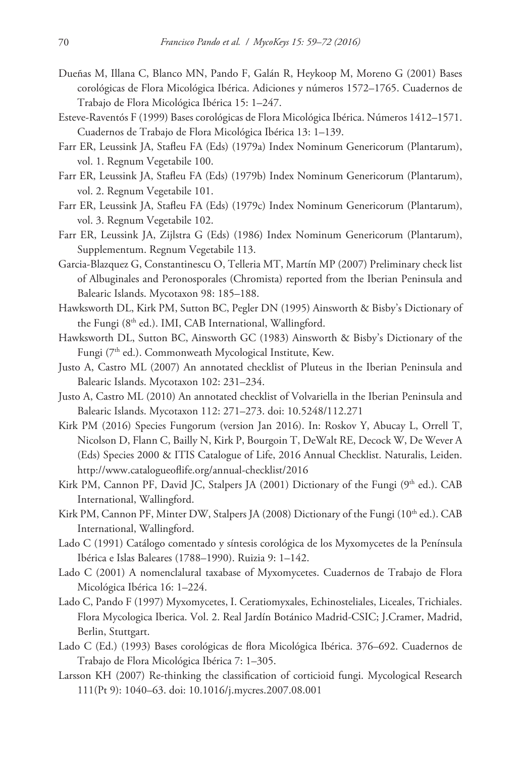- Dueñas M, Illana C, Blanco MN, Pando F, Galán R, Heykoop M, Moreno G (2001) Bases corológicas de Flora Micológica Ibérica. Adiciones y números 1572–1765. Cuadernos de Trabajo de Flora Micológica Ibérica 15: 1–247.
- Esteve-Raventós F (1999) Bases corológicas de Flora Micológica Ibérica. Números 1412–1571. Cuadernos de Trabajo de Flora Micológica Ibérica 13: 1–139.
- Farr ER, Leussink JA, Stafleu FA (Eds) (1979a) Index Nominum Genericorum (Plantarum), vol. 1. Regnum Vegetabile 100.
- Farr ER, Leussink JA, Stafleu FA (Eds) (1979b) Index Nominum Genericorum (Plantarum), vol. 2. Regnum Vegetabile 101.
- Farr ER, Leussink JA, Stafleu FA (Eds) (1979c) Index Nominum Genericorum (Plantarum), vol. 3. Regnum Vegetabile 102.
- Farr ER, Leussink JA, Zijlstra G (Eds) (1986) Index Nominum Genericorum (Plantarum), Supplementum. Regnum Vegetabile 113.
- Garcia-Blazquez G, Constantinescu O, Telleria MT, Martín MP (2007) Preliminary check list of Albuginales and Peronosporales (Chromista) reported from the Iberian Peninsula and Balearic Islands. Mycotaxon 98: 185–188.
- Hawksworth DL, Kirk PM, Sutton BC, Pegler DN (1995) Ainsworth & Bisby's Dictionary of the Fungi (8<sup>th</sup> ed.). IMI, CAB International, Wallingford.
- Hawksworth DL, Sutton BC, Ainsworth GC (1983) Ainsworth & Bisby's Dictionary of the Fungi (7<sup>th</sup> ed.). Commonweath Mycological Institute, Kew.
- Justo A, Castro ML (2007) An annotated checklist of Pluteus in the Iberian Peninsula and Balearic Islands. Mycotaxon 102: 231–234.
- Justo A, Castro ML (2010) An annotated checklist of Volvariella in the Iberian Peninsula and Balearic Islands. Mycotaxon 112: 271–273. [doi: 10.5248/112.271](http://dx.doi.org/10.5248/112.271)
- Kirk PM (2016) Species Fungorum (version Jan 2016). In: Roskov Y, Abucay L, Orrell T, Nicolson D, Flann C, Bailly N, Kirk P, Bourgoin T, DeWalt RE, Decock W, De Wever A (Eds) Species 2000 & ITIS Catalogue of Life, 2016 Annual Checklist. Naturalis, Leiden. <http://www.catalogueoflife.org/annual-checklist/2016>
- Kirk PM, Cannon PF, David JC, Stalpers JA (2001) Dictionary of the Fungi (9th ed.). CAB International, Wallingford.
- Kirk PM, Cannon PF, Minter DW, Stalpers JA (2008) Dictionary of the Fungi (10th ed.). CAB International, Wallingford.
- Lado C (1991) Catálogo comentado y síntesis corológica de los Myxomycetes de la Península Ibérica e Islas Baleares (1788–1990). Ruizia 9: 1–142.
- Lado C (2001) A nomenclalural taxabase of Myxomycetes. Cuadernos de Trabajo de Flora Micológica Ibérica 16: 1–224.
- Lado C, Pando F (1997) Myxomycetes, I. Ceratiomyxales, Echinosteliales, Liceales, Trichiales. Flora Mycologica Iberica. Vol. 2. Real Jardín Botánico Madrid-CSIC; J.Cramer, Madrid, Berlin, Stuttgart.
- Lado C (Ed.) (1993) Bases corológicas de flora Micológica Ibérica. 376–692. Cuadernos de Trabajo de Flora Micológica Ibérica 7: 1–305.
- Larsson KH (2007) Re-thinking the classification of corticioid fungi. Mycological Research 111(Pt 9): 1040–63. [doi: 10.1016/j.mycres.2007.08.001](http://dx.doi.org/10.1016/j.mycres.2007.08.001)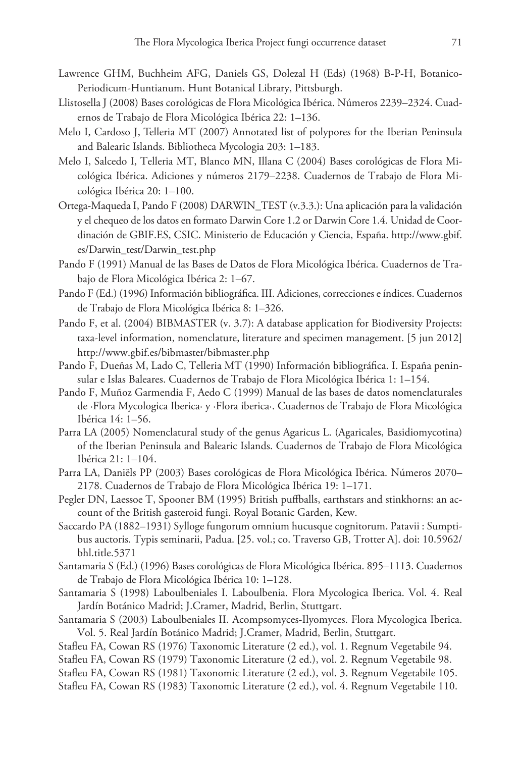- Lawrence GHM, Buchheim AFG, Daniels GS, Dolezal H (Eds) (1968) B-P-H, Botanico-Periodicum-Huntianum. Hunt Botanical Library, Pittsburgh.
- Llistosella J (2008) Bases corológicas de Flora Micológica Ibérica. Números 2239–2324. Cuadernos de Trabajo de Flora Micológica Ibérica 22: 1–136.
- Melo I, Cardoso J, Telleria MT (2007) Annotated list of polypores for the Iberian Peninsula and Balearic Islands. Bibliotheca Mycologia 203: 1–183.
- Melo I, Salcedo I, Telleria MT, Blanco MN, Illana C (2004) Bases corológicas de Flora Micológica Ibérica. Adiciones y números 2179–2238. Cuadernos de Trabajo de Flora Micológica Ibérica 20: 1–100.
- Ortega-Maqueda I, Pando F (2008) DARWIN\_TEST (v.3.3.): Una aplicación para la validación y el chequeo de los datos en formato Darwin Core 1.2 or Darwin Core 1.4. Unidad de Coordinación de GBIF.ES, CSIC. Ministerio de Educación y Ciencia, España. [http://www.gbif.](http://www.gbif.es/Darwin_test/Darwin_test.php) [es/Darwin\\_test/Darwin\\_test.php](http://www.gbif.es/Darwin_test/Darwin_test.php)
- Pando F (1991) Manual de las Bases de Datos de Flora Micológica Ibérica. Cuadernos de Trabajo de Flora Micológica Ibérica 2: 1–67.
- Pando F (Ed.) (1996) Información bibliográfica. III. Adiciones, correcciones e índices. Cuadernos de Trabajo de Flora Micológica Ibérica 8: 1–326.
- Pando F, et al. (2004) BIBMASTER (v. 3.7): A database application for Biodiversity Projects: taxa-level information, nomenclature, literature and specimen management. [5 jun 2012] <http://www.gbif.es/bibmaster/bibmaster.php>
- Pando F, Dueñas M, Lado C, Telleria MT (1990) Información bibliográfica. I. España peninsular e Islas Baleares. Cuadernos de Trabajo de Flora Micológica Ibérica 1: 1–154.
- Pando F, Muñoz Garmendia F, Aedo C (1999) Manual de las bases de datos nomenclaturales de ·Flora Mycologica Iberica· y ·Flora iberica·. Cuadernos de Trabajo de Flora Micológica Ibérica 14: 1–56.
- Parra LA (2005) Nomenclatural study of the genus Agaricus L. (Agaricales, Basidiomycotina) of the Iberian Peninsula and Balearic Islands. Cuadernos de Trabajo de Flora Micológica Ibérica 21: 1–104.
- Parra LA, Daniëls PP (2003) Bases corológicas de Flora Micológica Ibérica. Números 2070– 2178. Cuadernos de Trabajo de Flora Micológica Ibérica 19: 1–171.
- Pegler DN, Laessoe T, Spooner BM (1995) British puffballs, earthstars and stinkhorns: an account of the British gasteroid fungi. Royal Botanic Garden, Kew.
- Saccardo PA (1882–1931) Sylloge fungorum omnium hucusque cognitorum. Patavii : Sumptibus auctoris. Typis seminarii, Padua. [25. vol.; co. Traverso GB, Trotter A]. [doi: 10.5962/](http://dx.doi.org/10.5962/bhl.title.5371) [bhl.title.5371](http://dx.doi.org/10.5962/bhl.title.5371)
- Santamaria S (Ed.) (1996) Bases corológicas de Flora Micológica Ibérica. 895–1113. Cuadernos de Trabajo de Flora Micológica Ibérica 10: 1–128.
- Santamaria S (1998) Laboulbeniales I. Laboulbenia. Flora Mycologica Iberica. Vol. 4. Real Jardín Botánico Madrid; J.Cramer, Madrid, Berlin, Stuttgart.
- Santamaria S (2003) Laboulbeniales II. Acompsomyces-Ilyomyces. Flora Mycologica Iberica. Vol. 5. Real Jardín Botánico Madrid; J.Cramer, Madrid, Berlin, Stuttgart.
- Stafleu FA, Cowan RS (1976) Taxonomic Literature (2 ed.), vol. 1. Regnum Vegetabile 94.
- Stafleu FA, Cowan RS (1979) Taxonomic Literature (2 ed.), vol. 2. Regnum Vegetabile 98.
- Stafleu FA, Cowan RS (1981) Taxonomic Literature (2 ed.), vol. 3. Regnum Vegetabile 105.
- Stafleu FA, Cowan RS (1983) Taxonomic Literature (2 ed.), vol. 4. Regnum Vegetabile 110.